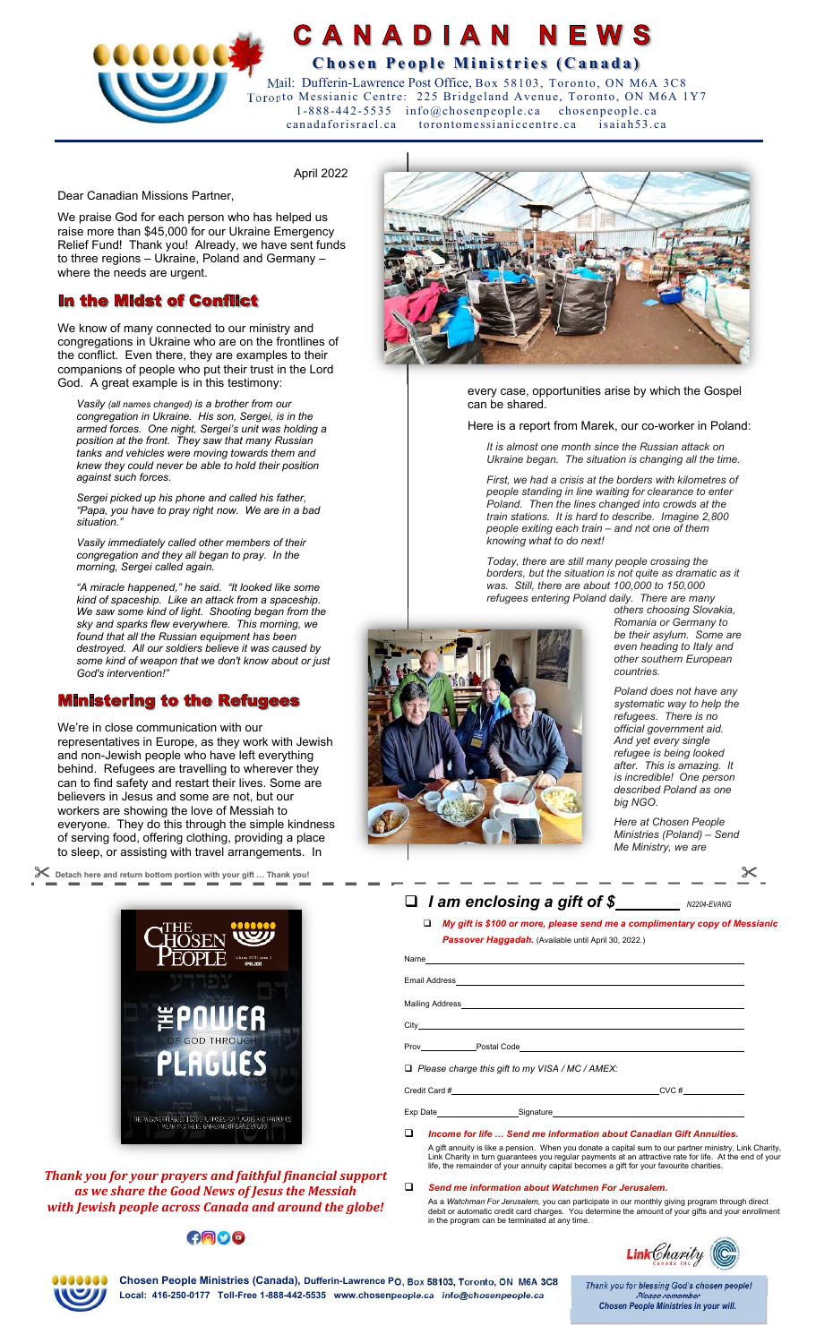

# **CANADIAN NEWS COCOCE CHECA CHOSE CONSTRUCTED BY A CHOSE People Ministries (Canada)**

 Mail: Dufferin-Lawrence Post Office, Box 58103, Toronto, ON M6A 3C8 Toronto Messianic Centre: 225 Bridgeland Avenue, Toronto, ON M6A 1Y7 1-888-442-5535 info@chosenpeople.ca chosenpeople.ca canadaforisrael.ca torontomessianiccentre.ca isaiah53.ca

April 2022

Dear Canadian Missions Partner,

We praise God for each person who has helped us raise more than \$45,000 for our Ukraine Emergency Relief Fund! Thank you! Already, we have sent funds to three regions – Ukraine, Poland and Germany – where the needs are urgent.

## **In the Midst of Conflict**

We know of many connected to our ministry and congregations in Ukraine who are on the frontlines of the conflict. Even there, they are examples to their companions of people who put their trust in the Lord God. A great example is in this testimony:

*Vasily (all names changed) is a brother from our congregation in Ukraine. His son, Sergei, is in the armed forces. One night, Sergei's unit was holding a position at the front. They saw that many Russian tanks and vehicles were moving towards them and knew they could never be able to hold their position against such forces.* 

*Sergei picked up his phone and called his father, "Papa, you have to pray right now. We are in a bad situation."* 

*Vasily immediately called other members of their congregation and they all began to pray. In the morning, Sergei called again.* 

*"A miracle happened," he said. "It looked like some kind of spaceship. Like an attack from a spaceship. We saw some kind of light. Shooting began from the sky and sparks flew everywhere. This morning, we found that all the Russian equipment has been destroyed. All our soldiers believe it was caused by some kind of weapon that we don't know about or just God's intervention!"* 

## **Ministering to the Refugees**

We're in close communication with our representatives in Europe, as they work with Jewish and non-Jewish people who have left everything behind. Refugees are travelling to wherever they can to find safety and restart their lives. Some are believers in Jesus and some are not, but our workers are showing the love of Messiah to everyone. They do this through the simple kindness of serving food, offering clothing, providing a place to sleep, or assisting with travel arrangements. In

 **Detach here and return bottom portion with your gift … Thank you!** 



*Thank you for your prayers and faithful financial support as we share the Good News of Jesus the Messiah with Jewish people across Canada and around the globe!* 

## $000$



every case, opportunities arise by which the Gospel can be shared.

Here is a report from Marek, our co-worker in Poland:

*It is almost one month since the Russian attack on Ukraine began. The situation is changing all the time.* 

*First, we had a crisis at the borders with kilometres of people standing in line waiting for clearance to enter Poland. Then the lines changed into crowds at the train stations. It is hard to describe. Imagine 2,800 people exiting each train – and not one of them knowing what to do next!* 

*Today, there are still many people crossing the borders, but the situation is not quite as dramatic as it was. Still, there are about 100,000 to 150,000 refugees entering Poland daily. There are many* 



*others choosing Slovakia, Romania or Germany to be their asylum. Some are even heading to Italy and other southern European countries.* 

*Poland does not have any systematic way to help the refugees. There is no official government aid. And yet every single refugee is being looked after. This is amazing. It is incredible! One person described Poland as one big NGO.* 

*Here at Chosen People Ministries (Poland) – Send Me Ministry, we are* 

204-EVANG

# *I am enclosing a gift of \$ -*

 *My gift is \$100 or more, please send me a complimentary copy of Messianic Passover Haggadah.* (Available until April 30, 2022.)

| Mailing Address <b>Contract Contract Contract Contract Contract Contract Contract Contract Contract Contract Contract Contract Contract Contract Contract Contract Contract Contract Contract Contract Contract Contract Contrac</b> |
|--------------------------------------------------------------------------------------------------------------------------------------------------------------------------------------------------------------------------------------|
|                                                                                                                                                                                                                                      |
|                                                                                                                                                                                                                                      |
| $\Box$ Please charge this gift to my VISA / MC / AMEX:                                                                                                                                                                               |

| Credit Card #   |           | CVC# |  |  |
|-----------------|-----------|------|--|--|
|                 |           |      |  |  |
| <b>Exp Date</b> | Signature |      |  |  |

*Income for life … Send me information about Canadian Gift Annuities.*

A gift annuity is like a pension. When you donate a capital sum to our partner ministry, Link Charity,<br>Link Charity in turn guarantees you regular payments at an attractive rate for life. At the end of your<br>life, the rem

### *Send me information about Watchmen For Jerusalem.*

As a *Watchman For Jerusalem,* you can participate in our monthly giving program through direct<br>debit or automatic credit card charges. You determine the amount of your gifts and your enrollment<br>in the program can be term





**Chosen People Ministries (Canada), Dufferin-Lawrence PO, Box 58103, Toronto, ON M6A 3C8 Local: 416-250-0177 Toll-Free 1-888-442-5535 www.chosenpeople.ca info@chosenpeople.ca** 

Thank you for blessing God's chosen people! **Please remember Chosen People Ministries in your will.**